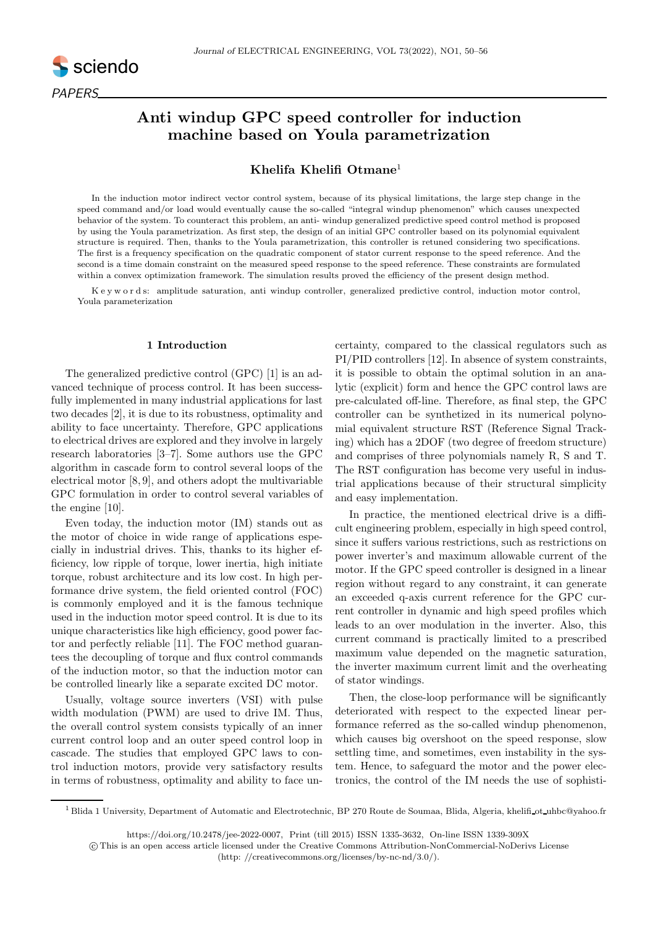

# Anti windup GPC speed controller for induction machine based on Youla parametrization

# Khelifa Khelifi Otmane<sup>1</sup>

In the induction motor indirect vector control system, because of its physical limitations, the large step change in the speed command and/or load would eventually cause the so-called "integral windup phenomenon" which causes unexpected behavior of the system. To counteract this problem, an anti- windup generalized predictive speed control method is proposed by using the Youla parametrization. As first step, the design of an initial GPC controller based on its polynomial equivalent structure is required. Then, thanks to the Youla parametrization, this controller is retuned considering two specifications. The first is a frequency specification on the quadratic component of stator current response to the speed reference. And the second is a time domain constraint on the measured speed response to the speed reference. These constraints are formulated within a convex optimization framework. The simulation results proved the efficiency of the present design method.

K e y w o r d s: amplitude saturation, anti windup controller, generalized predictive control, induction motor control, Youla parameterization

# 1 Introduction

The generalized predictive control (GPC) [1] is an advanced technique of process control. It has been successfully implemented in many industrial applications for last two decades [2], it is due to its robustness, optimality and ability to face uncertainty. Therefore, GPC applications to electrical drives are explored and they involve in largely research laboratories [3–7]. Some authors use the GPC algorithm in cascade form to control several loops of the electrical motor [8, 9], and others adopt the multivariable GPC formulation in order to control several variables of the engine [10].

Even today, the induction motor (IM) stands out as the motor of choice in wide range of applications especially in industrial drives. This, thanks to its higher efficiency, low ripple of torque, lower inertia, high initiate torque, robust architecture and its low cost. In high performance drive system, the field oriented control (FOC) is commonly employed and it is the famous technique used in the induction motor speed control. It is due to its unique characteristics like high efficiency, good power factor and perfectly reliable [11]. The FOC method guarantees the decoupling of torque and flux control commands of the induction motor, so that the induction motor can be controlled linearly like a separate excited DC motor.

Usually, voltage source inverters (VSI) with pulse width modulation (PWM) are used to drive IM. Thus, the overall control system consists typically of an inner current control loop and an outer speed control loop in cascade. The studies that employed GPC laws to control induction motors, provide very satisfactory results in terms of robustness, optimality and ability to face uncertainty, compared to the classical regulators such as PI/PID controllers [12]. In absence of system constraints, it is possible to obtain the optimal solution in an analytic (explicit) form and hence the GPC control laws are pre-calculated off-line. Therefore, as final step, the GPC controller can be synthetized in its numerical polynomial equivalent structure RST (Reference Signal Tracking) which has a 2DOF (two degree of freedom structure) and comprises of three polynomials namely R, S and T. The RST configuration has become very useful in industrial applications because of their structural simplicity and easy implementation.

In practice, the mentioned electrical drive is a difficult engineering problem, especially in high speed control, since it suffers various restrictions, such as restrictions on power inverter's and maximum allowable current of the motor. If the GPC speed controller is designed in a linear region without regard to any constraint, it can generate an exceeded q-axis current reference for the GPC current controller in dynamic and high speed profiles which leads to an over modulation in the inverter. Also, this current command is practically limited to a prescribed maximum value depended on the magnetic saturation, the inverter maximum current limit and the overheating of stator windings.

Then, the close-loop performance will be significantly deteriorated with respect to the expected linear performance referred as the so-called windup phenomenon, which causes big overshoot on the speed response, slow settling time, and sometimes, even instability in the system. Hence, to safeguard the motor and the power electronics, the control of the IM needs the use of sophisti-

<sup>1</sup> Blida 1 University, Department of Automatic and Electrotechnic, BP 270 Route de Soumaa, Blida, Algeria, khelifi ot uhbc@yahoo.fr

https://doi.org/10.2478/jee-2022-0007, Print (till 2015) ISSN 1335-3632, On-line ISSN 1339-309X

c This is an open access article licensed under the Creative Commons Attribution-NonCommercial-NoDerivs License (http: //creativecommons.org/licenses/by-nc-nd/3.0/).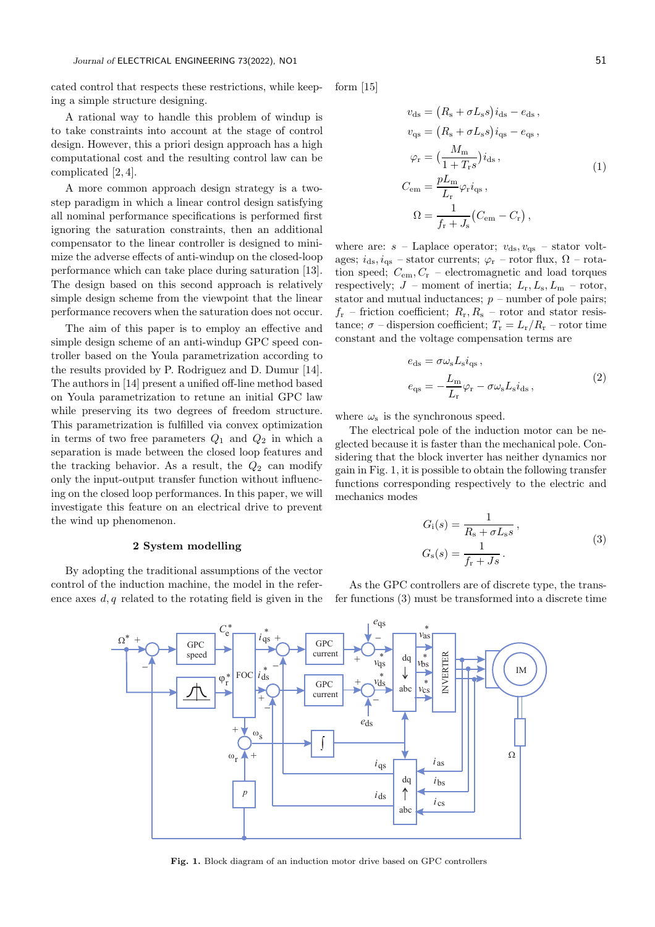cated control that respects these restrictions, while keeping a simple structure designing.

A rational way to handle this problem of windup is to take constraints into account at the stage of control design. However, this a priori design approach has a high computational cost and the resulting control law can be complicated [2, 4].

A more common approach design strategy is a twostep paradigm in which a linear control design satisfying all nominal performance specifications is performed first ignoring the saturation constraints, then an additional compensator to the linear controller is designed to minimize the adverse effects of anti-windup on the closed-loop performance which can take place during saturation [13]. The design based on this second approach is relatively simple design scheme from the viewpoint that the linear performance recovers when the saturation does not occur.

The aim of this paper is to employ an effective and simple design scheme of an anti-windup GPC speed controller based on the Youla parametrization according to the results provided by P. Rodriguez and D. Dumur [14]. The authors in [14] present a unified off-line method based on Youla parametrization to retune an initial GPC law while preserving its two degrees of freedom structure. This parametrization is fulfilled via convex optimization in terms of two free parameters  $Q_1$  and  $Q_2$  in which a separation is made between the closed loop features and the tracking behavior. As a result, the  $Q_2$  can modify only the input-output transfer function without influencing on the closed loop performances. In this paper, we will investigate this feature on an electrical drive to prevent the wind up phenomenon.

# 2 System modelling

By adopting the traditional assumptions of the vector control of the induction machine, the model in the reference axes  $d, q$  related to the rotating field is given in the form [15]

$$
v_{ds} = (R_s + \sigma L_s s) i_{ds} - e_{ds},
$$
  
\n
$$
v_{qs} = (R_s + \sigma L_s s) i_{qs} - e_{qs},
$$
  
\n
$$
\varphi_r = \left(\frac{M_m}{1 + T_r s}\right) i_{ds},
$$
  
\n
$$
C_{em} = \frac{pL_m}{L_r} \varphi_r i_{qs},
$$
  
\n
$$
\Omega = \frac{1}{f_r + J_s} (C_{em} - C_r),
$$

where are:  $s$  – Laplace operator;  $v_{ds}$ ,  $v_{gs}$  – stator voltages;  $i_{ds}$ ,  $i_{qs}$  – stator currents;  $\varphi$ <sub>r</sub> – rotor flux,  $\Omega$  – rotation speed;  $C_{\rm em}$ ,  $C_{\rm r}$  – electromagnetic and load torques respectively;  $J$  – moment of inertia;  $L_r, L_s, L_m$  – rotor, stator and mutual inductances;  $p$  – number of pole pairs;  $f_r$  – friction coefficient;  $R_r, R_s$  – rotor and stator resistance;  $\sigma$  – dispersion coefficient;  $T_{\rm r} = L_{\rm r}/R_{\rm r}$  – rotor time constant and the voltage compensation terms are

$$
e_{ds} = \sigma \omega_s L_s i_{qs} ,
$$
  
\n
$$
e_{qs} = -\frac{L_m}{L_r} \varphi_r - \sigma \omega_s L_s i_{ds} ,
$$
\n(2)

where  $\omega_s$  is the synchronous speed.

The electrical pole of the induction motor can be neglected because it is faster than the mechanical pole. Considering that the block inverter has neither dynamics nor gain in Fig. 1, it is possible to obtain the following transfer functions corresponding respectively to the electric and mechanics modes

$$
G_{\rm i}(s) = \frac{1}{R_{\rm s} + \sigma L_{\rm s}s},
$$
  
\n
$$
G_{\rm s}(s) = \frac{1}{f_{\rm r} + Js}.
$$
\n(3)

As the GPC controllers are of discrete type, the transfer functions (3) must be transformed into a discrete time



Fig. 1. Block diagram of an induction motor drive based on GPC controllers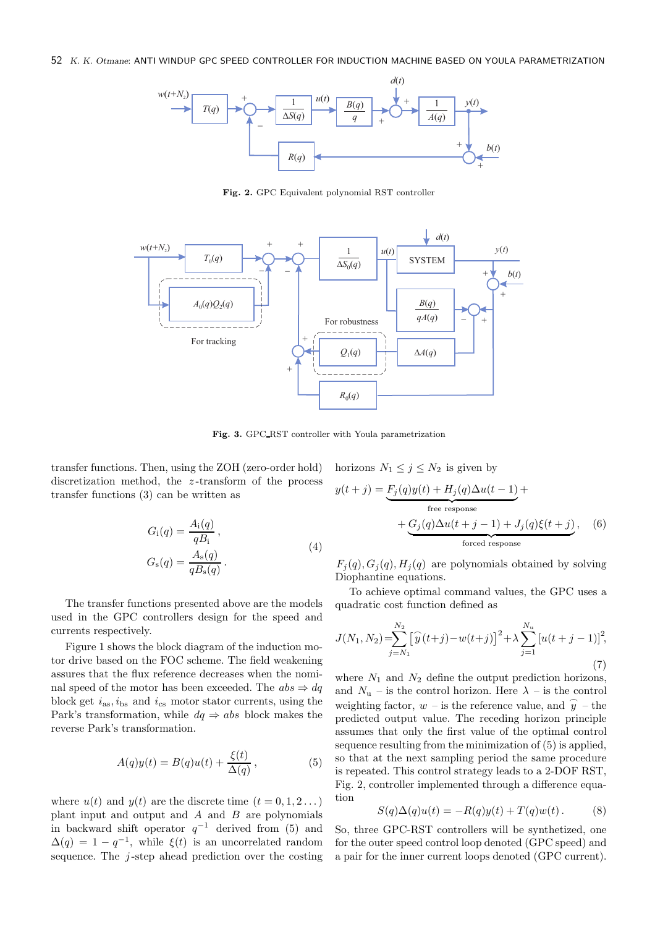### 52 *K. K. Otmane*: ANTI WINDUP GPC SPEED CONTROLLER FOR INDUCTION MACHINE BASED ON YOULA PARAMETRIZATION



Fig. 2. GPC Equivalent polynomial RST controller



Fig. 3. GPC RST controller with Youla parametrization

transfer functions. Then, using the ZOH (zero-order hold) discretization method, the z-transform of the process transfer functions (3) can be written as

$$
G_{\rm i}(q) = \frac{A_{\rm i}(q)}{qB_{\rm i}},
$$
  
\n
$$
G_{\rm s}(q) = \frac{A_{\rm s}(q)}{qB_{\rm s}(q)}.
$$
\n(4)

The transfer functions presented above are the models used in the GPC controllers design for the speed and currents respectively.

Figure 1 shows the block diagram of the induction motor drive based on the FOC scheme. The field weakening assures that the flux reference decreases when the nominal speed of the motor has been exceeded. The  $abs \Rightarrow dq$ block get  $i_{\text{as}}$ ,  $i_{\text{bs}}$  and  $i_{\text{cs}}$  motor stator currents, using the Park's transformation, while  $dq \Rightarrow abs$  block makes the reverse Park's transformation.

$$
A(q)y(t) = B(q)u(t) + \frac{\xi(t)}{\Delta(q)},
$$
\n(5)

where  $u(t)$  and  $y(t)$  are the discrete time  $(t = 0, 1, 2...)$ plant input and output and  $A$  and  $B$  are polynomials in backward shift operator  $q^{-1}$  derived from (5) and  $\Delta(q) = 1 - q^{-1}$ , while  $\xi(t)$  is an uncorrelated random sequence. The  $j$ -step ahead prediction over the costing

horizons 
$$
N_1 \leq j \leq N_2
$$
 is given by  
\n
$$
y(t+j) = \underbrace{F_j(q)y(t) + H_j(q)\Delta u(t-1)}_{\text{free response}} + \underbrace{G_j(q)\Delta u(t+j-1) + J_j(q)\xi(t+j)}_{\text{forced response}},
$$
\n(6)

 $F_i(q), G_i(q), H_i(q)$  are polynomials obtained by solving Diophantine equations.

To achieve optimal command values, the GPC uses a quadratic cost function defined as

$$
J(N_1, N_2) = \sum_{j=N_1}^{N_2} \left[ \widehat{y}(t+j) - w(t+j) \right]^2 + \lambda \sum_{j=1}^{N_u} \left[ u(t+j-1) \right]^2,
$$
\n(7)

where  $N_1$  and  $N_2$  define the output prediction horizons, and  $N_u$  – is the control horizon. Here  $\lambda$  – is the control weighting factor,  $w -$  is the reference value, and  $\hat{y}$  – the predicted output value. The receding horizon principle assumes that only the first value of the optimal control sequence resulting from the minimization of (5) is applied, so that at the next sampling period the same procedure is repeated. This control strategy leads to a 2-DOF RST, Fig. 2, controller implemented through a difference equation

$$
S(q)\Delta(q)u(t) = -R(q)y(t) + T(q)w(t).
$$
 (8)

So, three GPC-RST controllers will be synthetized, one for the outer speed control loop denoted (GPC speed) and a pair for the inner current loops denoted (GPC current).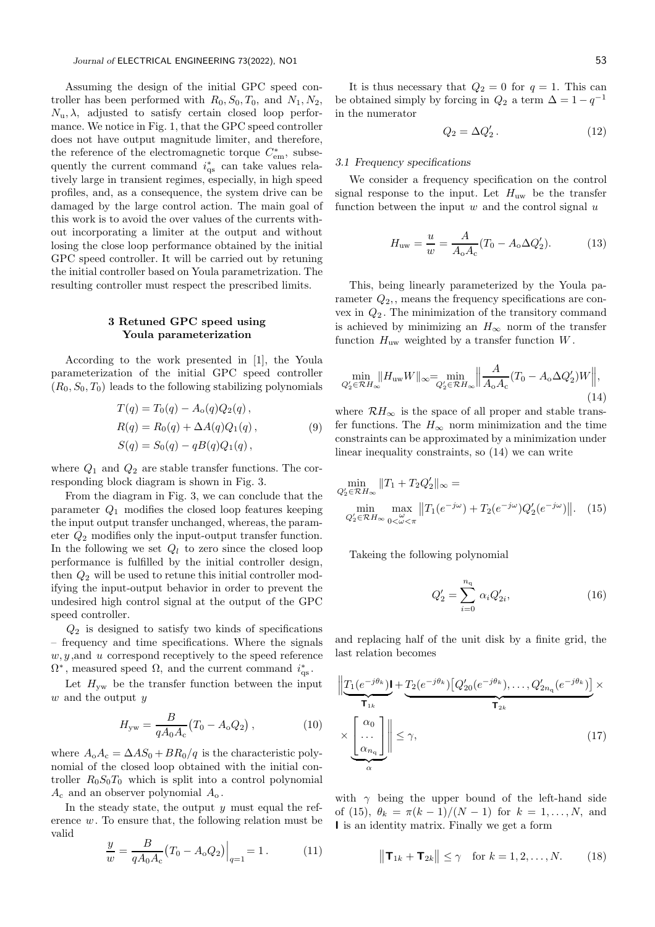Assuming the design of the initial GPC speed controller has been performed with  $R_0$ ,  $S_0$ ,  $T_0$ , and  $N_1$ ,  $N_2$ ,  $N_{\rm u}, \lambda$ , adjusted to satisfy certain closed loop performance. We notice in Fig. 1, that the GPC speed controller does not have output magnitude limiter, and therefore, the reference of the electromagnetic torque  $C_{em}^*$ , subsequently the current command  $i_{\text{qs}}^*$  can take values relatively large in transient regimes, especially, in high speed profiles, and, as a consequence, the system drive can be damaged by the large control action. The main goal of this work is to avoid the over values of the currents without incorporating a limiter at the output and without losing the close loop performance obtained by the initial GPC speed controller. It will be carried out by retuning the initial controller based on Youla parametrization. The resulting controller must respect the prescribed limits.

# 3 Retuned GPC speed using Youla parameterization

According to the work presented in [1], the Youla parameterization of the initial GPC speed controller  $(R_0, S_0, T_0)$  leads to the following stabilizing polynomials

$$
T(q) = T_0(q) - A_0(q)Q_2(q),
$$
  
\n
$$
R(q) = R_0(q) + \Delta A(q)Q_1(q),
$$
  
\n
$$
S(q) = S_0(q) - qB(q)Q_1(q),
$$
\n(9)

where  $Q_1$  and  $Q_2$  are stable transfer functions. The corresponding block diagram is shown in Fig. 3.

From the diagram in Fig. 3, we can conclude that the parameter  $Q_1$  modifies the closed loop features keeping the input output transfer unchanged, whereas, the parameter Q<sup>2</sup> modifies only the input-output transfer function. In the following we set  $Q_l$  to zero since the closed loop performance is fulfilled by the initial controller design, then  $Q_2$  will be used to retune this initial controller modifying the input-output behavior in order to prevent the undesired high control signal at the output of the GPC speed controller.

 $Q_2$  is designed to satisfy two kinds of specifications – frequency and time specifications. Where the signals  $w, y$ , and  $u$  correspond receptively to the speed reference  $\Omega^*$ , measured speed  $\Omega$ , and the current command  $i_{\text{qs}}^*$ .

Let  $H_{vw}$  be the transfer function between the input  $w$  and the output  $y$ 

$$
H_{\rm yw} = \frac{B}{qA_0A_{\rm c}} (T_0 - A_{\rm o}Q_2) , \qquad (10)
$$

where  $A_0A_c = \Delta AS_0 + BR_0/q$  is the characteristic polynomial of the closed loop obtained with the initial controller  $R_0S_0T_0$  which is split into a control polynomial  $A_c$  and an observer polynomial  $A_o$ .

In the steady state, the output  $y$  must equal the reference w. To ensure that, the following relation must be valid

$$
\frac{y}{w} = \frac{B}{qA_0A_c}(T_0 - A_oQ_2)\Big|_{q=1} = 1.
$$
 (11)

It is thus necessary that  $Q_2 = 0$  for  $q = 1$ . This can be obtained simply by forcing in  $Q_2$  a term  $\Delta = 1 - q^{-1}$ in the numerator

$$
Q_2 = \Delta Q'_2. \tag{12}
$$

# 3.1 Frequency specifications

We consider a frequency specification on the control signal response to the input. Let  $H_{uw}$  be the transfer function between the input  $w$  and the control signal  $u$ 

$$
H_{\rm uw} = \frac{u}{w} = \frac{A}{A_{\rm o}A_{\rm c}}(T_0 - A_{\rm o}\Delta Q_2').
$$
 (13)

This, being linearly parameterized by the Youla parameter  $Q_2$ , means the frequency specifications are convex in  $Q_2$ . The minimization of the transitory command is achieved by minimizing an  $H_{\infty}$  norm of the transfer function  $H_{\text{uw}}$  weighted by a transfer function  $W$ .

$$
\min_{Q_2' \in \mathcal{R}H_{\infty}} \lVert H_{\text{uw}} W \rVert_{\infty} = \min_{Q_2' \in \mathcal{R}H_{\infty}} \lVert \frac{A}{A_{\text{o}}A_{\text{c}}} (T_0 - A_{\text{o}} \Delta Q_2') W \rVert, \tag{14}
$$

where  $\mathcal{R}H_{\infty}$  is the space of all proper and stable transfer functions. The  $H_{\infty}$  norm minimization and the time constraints can be approximated by a minimization under linear inequality constraints, so (14) we can write

$$
\min_{Q_2' \in \mathcal{R}H_{\infty}} \|T_1 + T_2 Q_2'\|_{\infty} =
$$
\n
$$
\min_{Q_2' \in \mathcal{R}H_{\infty}} \max_{0 < \omega < \pi} \|T_1(e^{-j\omega}) + T_2(e^{-j\omega})Q_2'(e^{-j\omega})\|.\tag{15}
$$

Takeing the following polynomial

$$
Q_2' = \sum_{i=0}^{n_q} \alpha_i Q_{2i}',\tag{16}
$$

and replacing half of the unit disk by a finite grid, the last relation becomes

$$
\left\| \underbrace{T_1(e^{-j\theta_k}) \mathbf{I}}_{\mathbf{T}_{1k}} + \underbrace{T_2(e^{-j\theta_k}) \left[ Q'_{20}(e^{-j\theta_k}), \dots, Q'_{2n_q}(e^{-j\theta_k}) \right]}_{\mathbf{T}_{2k}} \times \underbrace{\left[ \begin{array}{c} \alpha_0 \\ \dots \\ \alpha_{n_q} \end{array} \right]}_{\alpha} \right\| \leq \gamma, \tag{17}
$$

with  $\gamma$  being the upper bound of the left-hand side of (15),  $\theta_k = \pi (k-1)/(N-1)$  for  $k = 1, ..., N$ , and I is an identity matrix. Finally we get a form

$$
\|\mathbf{T}_{1k} + \mathbf{T}_{2k}\| \le \gamma \quad \text{for } k = 1, 2, \dots, N. \tag{18}
$$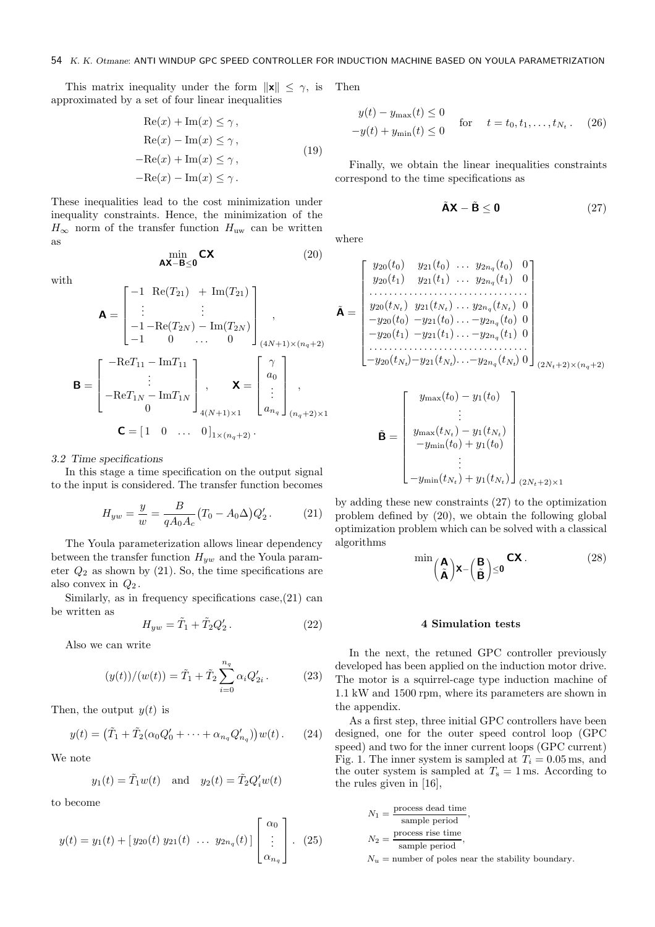This matrix inequality under the form  $\|\mathbf{x}\| \leq \gamma$ , is Then approximated by a set of four linear inequalities

$$
Re(x) + Im(x) \le \gamma,
$$
  
\n
$$
Re(x) - Im(x) \le \gamma,
$$
  
\n
$$
-Re(x) + Im(x) \le \gamma,
$$
  
\n
$$
-Re(x) - Im(x) \le \gamma.
$$
\n(19)

These inequalities lead to the cost minimization under inequality constraints. Hence, the minimization of the  $H_{\infty}$  norm of the transfer function  $H_{\text{uw}}$  can be written as

min AX−B≤0

with

$$
\mathbf{A} = \begin{bmatrix}\n-1 & \text{Re}(T_{21}) & + \text{Im}(T_{21}) \\
\vdots & \vdots & \vdots \\
-1 - \text{Re}(T_{2N}) & -\text{Im}(T_{2N}) \\
-1 & 0 & \cdots & 0\n\end{bmatrix}_{(4N+1)\times(n_q+2)}^{(4N+1)\times(n_q+2)},
$$
\n
$$
\mathbf{B} = \begin{bmatrix}\n-\text{Re}T_{11} - \text{Im}T_{11} \\
\vdots \\
-\text{Re}T_{1N} - \text{Im}T_{1N} \\
0\n\end{bmatrix}, \quad \mathbf{X} = \begin{bmatrix}\n\gamma \\
a_0 \\
\vdots \\
a_{n_q}\n\end{bmatrix},
$$
\n
$$
\mathbf{C} = \begin{bmatrix}1 & 0 & \cdots & 0\end{bmatrix}_{1\times(n_q+2)}.
$$

## 3.2 Time specifications

In this stage a time specification on the output signal to the input is considered. The transfer function becomes

$$
H_{yw} = \frac{y}{w} = \frac{B}{qA_0A_c}(T_0 - A_0\Delta)Q'_2.
$$
 (21)

The Youla parameterization allows linear dependency between the transfer function  $H_{yw}$  and the Youla parameter  $Q_2$  as shown by (21). So, the time specifications are also convex in  $Q_2$ .

Similarly, as in frequency specifications case, $(21)$  can be written as

$$
H_{yw} = \tilde{T}_1 + \tilde{T}_2 Q'_2.
$$
 (22)

Also we can write

$$
(y(t))/(w(t)) = \tilde{T}_1 + \tilde{T}_2 \sum_{i=0}^{n_q} \alpha_i Q'_{2i}.
$$
 (23)

Then, the output  $y(t)$  is

$$
y(t) = (\tilde{T}_1 + \tilde{T}_2(\alpha_0 Q'_0 + \dots + \alpha_{n_q} Q'_{n_q}))w(t).
$$
 (24)

We note

$$
y_1(t) = \tilde{T}_1 w(t)
$$
 and  $y_2(t) = \tilde{T}_2 Q'_i w(t)$ 

to become

$$
y(t) = y_1(t) + [y_{20}(t) y_{21}(t) \dots y_{2n_q}(t)] \begin{bmatrix} \alpha_0 \\ \vdots \\ \alpha_{n_q} \end{bmatrix} . (25)
$$

$$
y(t) - y_{\text{max}}(t) \le 0
$$
  
- $y(t) + y_{\text{min}}(t) \le 0$  for  $t = t_0, t_1, ..., t_{N_t}$ . (26)

Finally, we obtain the linear inequalities constraints correspond to the time specifications as

$$
\tilde{\mathbf{A}}\mathbf{X} - \tilde{\mathbf{B}} \le \mathbf{0} \tag{27}
$$

where

 $\tilde{\mathbf{A}}$ 

 $(20)$ 

$$
= \begin{bmatrix} y_{20}(t_0) & y_{21}(t_0) & \dots & y_{2n_q}(t_0) & 0 \\ y_{20}(t_1) & y_{21}(t_1) & \dots & y_{2n_q}(t_1) & 0 \\ \dots & \dots & \dots & \dots & \dots \\ y_{20}(t_{N_t}) & y_{21}(t_{N_t}) & \dots & y_{2n_q}(t_{N_t}) & 0 \\ -y_{20}(t_0) & -y_{21}(t_0) & \dots & -y_{2n_q}(t_0) & 0 \\ -y_{20}(t_1) & -y_{21}(t_1) & \dots & -y_{2n_q}(t_1) & 0 \\ \dots & \dots & \dots & \dots & \dots & \dots \\ -y_{20}(t_{N_t}) - y_{21}(t_{N_t}) & \dots & -y_{2n_q}(t_{N_t}) & 0 \end{bmatrix}_{(2N_t+2)\times(n_q+2)}
$$

$$
\tilde{\mathbf{B}} = \begin{bmatrix} y_{\max}(t_0) - y_1(t_0) \\ \vdots \\ y_{\max}(t_{N_t}) - y_1(t_{N_t}) \\ -y_{\min}(t_0) + y_1(t_0) \\ \vdots \\ -y_{\min}(t_{N_t}) + y_1(t_{N_t}) \end{bmatrix}_{(2N_t+2)\times 1}
$$

by adding these new constraints (27) to the optimization problem defined by (20), we obtain the following global optimization problem which can be solved with a classical algorithms

$$
\min\left(\begin{array}{c}\mathbf{A}\\ \tilde{\mathbf{A}}\end{array}\right)\mathbf{x}-\left(\begin{array}{c}\mathbf{B}\\ \tilde{\mathbf{B}}\end{array}\right)\leq\mathbf{0}}\mathbf{C}\mathbf{X}.
$$
 (28)

### 4 Simulation tests

In the next, the retuned GPC controller previously developed has been applied on the induction motor drive. The motor is a squirrel-cage type induction machine of 1.1 kW and 1500 rpm, where its parameters are shown in the appendix.

As a first step, three initial GPC controllers have been designed, one for the outer speed control loop (GPC speed) and two for the inner current loops (GPC current) Fig. 1. The inner system is sampled at  $T_i = 0.05$  ms, and the outer system is sampled at  $T_s = 1$  ms. According to the rules given in [16],

$$
N_1 = \frac{\text{process dead time}}{\text{sample period}},
$$
  

$$
N_2 = \frac{\text{process rise time}}{\text{sample period}},
$$

 $N_u$  = number of poles near the stability boundary.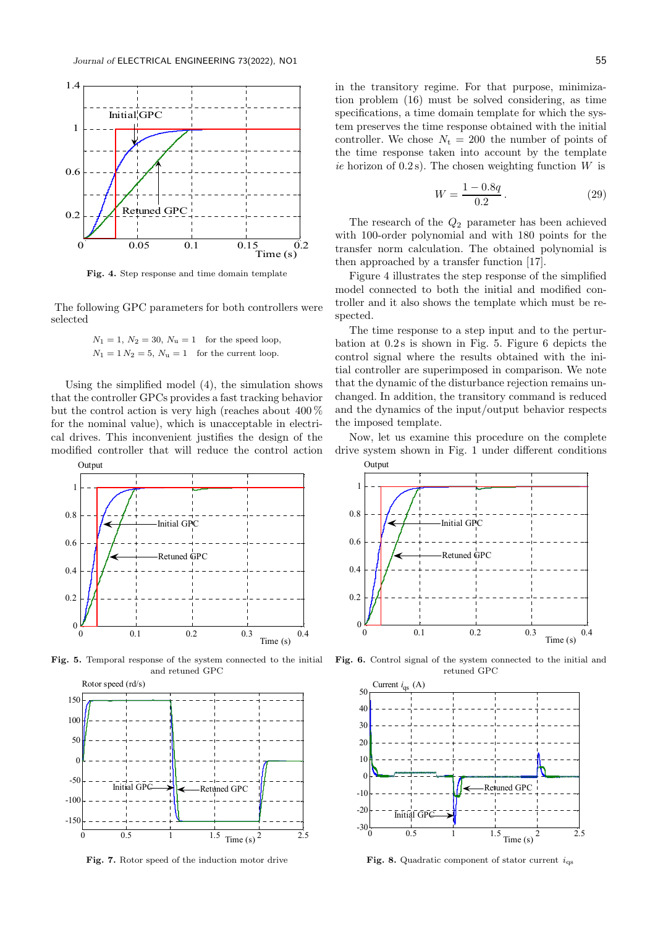

Fig. 4. Step response and time domain template

The following GPC parameters for both controllers were selected

> $N_1 = 1, N_2 = 30, N_u = 1$  for the speed loop,  $N_1 = 1 N_2 = 5$ ,  $N_u = 1$  for the current loop.

Using the simplified model (4), the simulation shows that the controller GPCs provides a fast tracking behavior but the control action is very high (reaches about 400 % for the nominal value), which is unacceptable in electrical drives. This inconvenient justifies the design of the modified controller that will reduce the control action



Fig. 5. Temporal response of the system connected to the initial and retuned GPC



Fig. 7. Rotor speed of the induction motor drive

in the transitory regime. For that purpose, minimization problem (16) must be solved considering, as time specifications, a time domain template for which the system preserves the time response obtained with the initial controller. We chose  $N_t = 200$  the number of points of the time response taken into account by the template ie horizon of  $(0.2 s)$ . The chosen weighting function W is

$$
W = \frac{1 - 0.8q}{0.2} \,. \tag{29}
$$

The research of the  $Q_2$  parameter has been achieved with 100-order polynomial and with 180 points for the transfer norm calculation. The obtained polynomial is then approached by a transfer function [17].

Figure 4 illustrates the step response of the simplified model connected to both the initial and modified controller and it also shows the template which must be respected.

The time response to a step input and to the perturbation at 0.2 s is shown in Fig. 5. Figure 6 depicts the control signal where the results obtained with the initial controller are superimposed in comparison. We note that the dynamic of the disturbance rejection remains unchanged. In addition, the transitory command is reduced and the dynamics of the input/output behavior respects the imposed template.

Now, let us examine this procedure on the complete drive system shown in Fig. 1 under different conditions



Fig. 6. Control signal of the system connected to the initial and retuned GPC



Fig. 8. Quadratic component of stator current  $\,i_{\rm qs}$